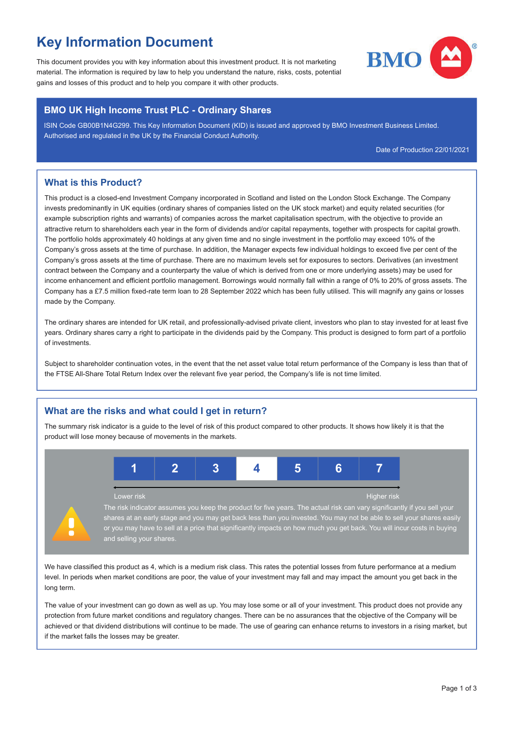# Key Information Document

This document provides you with key information about this investment product. It is not marketing material. The information is required by law to help you understand the nature, risks, costs, potential gains and losses of this product and to help you compare it with other products.



#### BMO UK High Income Trust PLC - Ordinary Shares

ISIN Code GB00B1N4G299. This Key Information Document (KID) is issued and approved by BMO Investment Business Limited. Authorised and regulated in the UK by the Financial Conduct Authority.

Date of Production 22/01/2021

### What is this Product?

This product is a closed-end Investment Company incorporated in Scotland and listed on the London Stock Exchange. The Company invests predominantly in UK equities (ordinary shares of companies listed on the UK stock market) and equity related securities (for example subscription rights and warrants) of companies across the market capitalisation spectrum, with the objective to provide an attractive return to shareholders each year in the form of dividends and/or capital repayments, together with prospects for capital growth. The portfolio holds approximately 40 holdings at any given time and no single investment in the portfolio may exceed 10% of the Company's gross assets at the time of purchase. In addition, the Manager expects few individual holdings to exceed five per cent of the Company's gross assets at the time of purchase. There are no maximum levels set for exposures to sectors. Derivatives (an investment contract between the Company and a counterparty the value of which is derived from one or more underlying assets) may be used for income enhancement and efficient portfolio management. Borrowings would normally fall within a range of 0% to 20% of gross assets. The Company has a £7.5 million fixed-rate term loan to 28 September 2022 which has been fully utilised. This will magnify any gains or losses made by the Company.

The ordinary shares are intended for UK retail, and professionally-advised private client, investors who plan to stay invested for at least five years. Ordinary shares carry a right to participate in the dividends paid by the Company. This product is designed to form part of a portfolio of investments.

Subject to shareholder continuation votes, in the event that the net asset value total return performance of the Company is less than that of the FTSE All-Share Total Return Index over the relevant five year period, the Company's life is not time limited.

### What are the risks and what could I get in return?

The summary risk indicator is a guide to the level of risk of this product compared to other products. It shows how likely it is that the product will lose money because of movements in the markets.



The risk indicator assumes you keep the product for five years. The actual risk can vary significantly if you sell your shares at an early stage and you may get back less than you invested. You may not be able to sell your shares easily r you may have to sell at a price that significantly impacts on how much you get back. You will incur costs in buying

We have classified this product as 4, which is a medium risk class. This rates the potential losses from future performance at a medium level. In periods when market conditions are poor, the value of your investment may fall and may impact the amount you get back in the long term.

The value of your investment can go down as well as up. You may lose some or all of your investment. This product does not provide any protection from future market conditions and regulatory changes. There can be no assurances that the objective of the Company will be achieved or that dividend distributions will continue to be made. The use of gearing can enhance returns to investors in a rising market, but if the market falls the losses may be greater.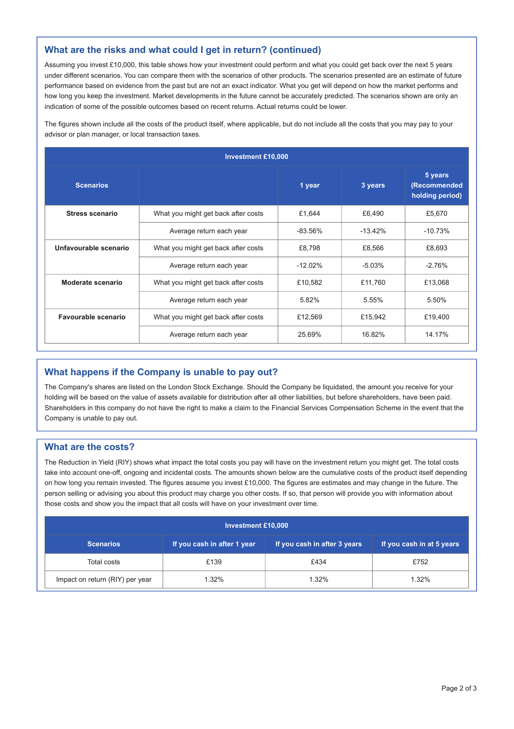#### What are the risks and what could I get in return? (continued)

Assuming you invest £10,000, this table shows how your investment could perform and what you could get back over the next 5 years under different scenarios. You can compare them with the scenarios of other products. The scenarios presented are an estimate of future performance based on evidence from the past but are not an exact indicator. What you get will depend on how the market performs and how long you keep the investment. Market developments in the future cannot be accurately predicted. The scenarios shown are only an indication of some of the possible outcomes based on recent returns. Actual returns could be lower.

The figures shown include all the costs of the product itself, where applicable, but do not include all the costs that you may pay to your advisor or plan manager, or local transaction taxes.

| <b>Investment £10,000</b> |                                                |           |           |                                            |  |  |
|---------------------------|------------------------------------------------|-----------|-----------|--------------------------------------------|--|--|
| <b>Scenarios</b>          |                                                | 1 year    | 3 years   | 5 years<br>(Recommended<br>holding period) |  |  |
| <b>Stress scenario</b>    | What you might get back after costs            | £1.644    | £6.490    | £5.670                                     |  |  |
|                           | Average return each year                       | $-83.56%$ | $-13.42%$ | $-10.73%$                                  |  |  |
| Unfavourable scenario     | What you might get back after costs            | £8.798    | £8.566    | £8.693                                     |  |  |
|                           | Average return each year                       | $-12.02%$ | $-5.03%$  | $-2.76%$                                   |  |  |
| Moderate scenario         | What you might get back after costs            | £10.582   | £11.760   | £13,068                                    |  |  |
|                           | Average return each year                       | 5.82%     | 5.55%     | 5.50%                                      |  |  |
| Favourable scenario       | What you might get back after costs<br>£12.569 |           | £15.942   | £19,400                                    |  |  |
|                           | Average return each year                       | 25.69%    | 16.82%    | 14.17%                                     |  |  |

### What happens if the Company is unable to pay out?

The Company's shares are listed on the London Stock Exchange. Should the Company be liquidated, the amount you receive for your holding will be based on the value of assets available for distribution after all other liabilities, but before shareholders, have been paid. Shareholders in this company do not have the right to make a claim to the Financial Services Compensation Scheme in the event that the Company is unable to pay out.

#### What are the costs?

The Reduction in Yield (RIY) shows what impact the total costs you pay will have on the investment return you might get. The total costs take into account one-off, ongoing and incidental costs. The amounts shown below are the cumulative costs of the product itself depending on how long you remain invested. The figures assume you invest £10,000. The figures are estimates and may change in the future. The person selling or advising you about this product may charge you other costs. If so, that person will provide you with information about those costs and show you the impact that all costs will have on your investment over time.

| <b>Investment £10,000</b>       |                                                             |       |                           |  |  |  |
|---------------------------------|-------------------------------------------------------------|-------|---------------------------|--|--|--|
| <b>Scenarios</b>                | If you cash in after 1 year<br>If you cash in after 3 years |       | If you cash in at 5 years |  |  |  |
| Total costs                     | £139                                                        | £434  | £752                      |  |  |  |
| Impact on return (RIY) per year | 1.32%                                                       | 1.32% | 1.32%                     |  |  |  |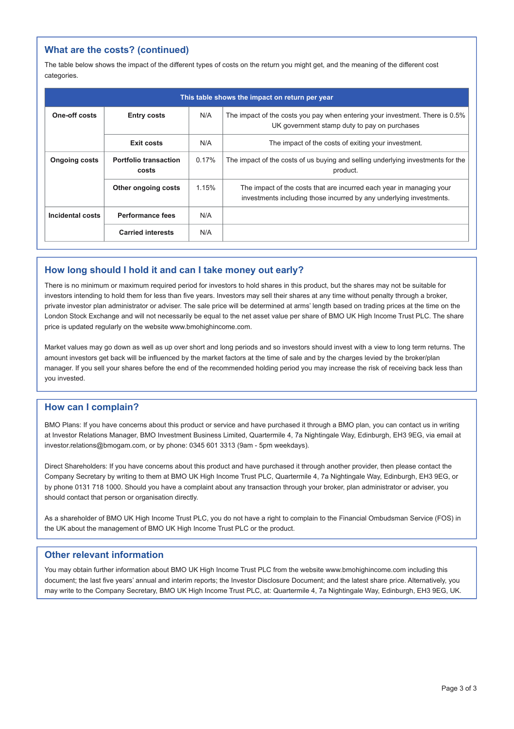### What are the costs? (continued)

The table below shows the impact of the different types of costs on the return you might get, and the meaning of the different cost categories.

| This table shows the impact on return per year |                                       |       |                                                                                                                                             |  |  |
|------------------------------------------------|---------------------------------------|-------|---------------------------------------------------------------------------------------------------------------------------------------------|--|--|
| One-off costs                                  | <b>Entry costs</b>                    | N/A   | The impact of the costs you pay when entering your investment. There is 0.5%<br>UK government stamp duty to pay on purchases                |  |  |
|                                                | Exit costs                            | N/A   | The impact of the costs of exiting your investment.                                                                                         |  |  |
| <b>Ongoing costs</b>                           | <b>Portfolio transaction</b><br>costs | 0.17% | The impact of the costs of us buying and selling underlying investments for the<br>product.                                                 |  |  |
|                                                | Other ongoing costs                   | 1.15% | The impact of the costs that are incurred each year in managing your<br>investments including those incurred by any underlying investments. |  |  |
| Incidental costs                               | Performance fees                      | N/A   |                                                                                                                                             |  |  |
|                                                | <b>Carried interests</b>              | N/A   |                                                                                                                                             |  |  |

#### How long should I hold it and can I take money out early?

There is no minimum or maximum required period for investors to hold shares in this product, but the shares may not be suitable for investors intending to hold them for less than five years. Investors may sell their shares at any time without penalty through a broker, private investor plan administrator or adviser. The sale price will be determined at arms' length based on trading prices at the time on the London Stock Exchange and will not necessarily be equal to the net asset value per share of BMO UK High Income Trust PLC. The share price is updated regularly on the website www.bmohighincome.com.

Market values may go down as well as up over short and long periods and so investors should invest with a view to long term returns. The amount investors get back will be influenced by the market factors at the time of sale and by the charges levied by the broker/plan manager. If you sell your shares before the end of the recommended holding period you may increase the risk of receiving back less than you invested.

#### How can I complain?

BMO Plans: If you have concerns about this product or service and have purchased it through a BMO plan, you can contact us in writing at Investor Relations Manager, BMO Investment Business Limited, Quartermile 4, 7a Nightingale Way, Edinburgh, EH3 9EG, via email at investor.relations@bmogam.com, or by phone: 0345 601 3313 (9am - 5pm weekdays).

Direct Shareholders: If you have concerns about this product and have purchased it through another provider, then please contact the Company Secretary by writing to them at BMO UK High Income Trust PLC, Quartermile 4, 7a Nightingale Way, Edinburgh, EH3 9EG, or by phone 0131 718 1000. Should you have a complaint about any transaction through your broker, plan administrator or adviser, you should contact that person or organisation directly.

As a shareholder of BMO UK High Income Trust PLC, you do not have a right to complain to the Financial Ombudsman Service (FOS) in the UK about the management of BMO UK High Income Trust PLC or the product.

#### Other relevant information

You may obtain further information about BMO UK High Income Trust PLC from the website www.bmohighincome.com including this document; the last five years' annual and interim reports; the Investor Disclosure Document; and the latest share price. Alternatively, you may write to the Company Secretary, BMO UK High Income Trust PLC, at: Quartermile 4, 7a Nightingale Way, Edinburgh, EH3 9EG, UK.